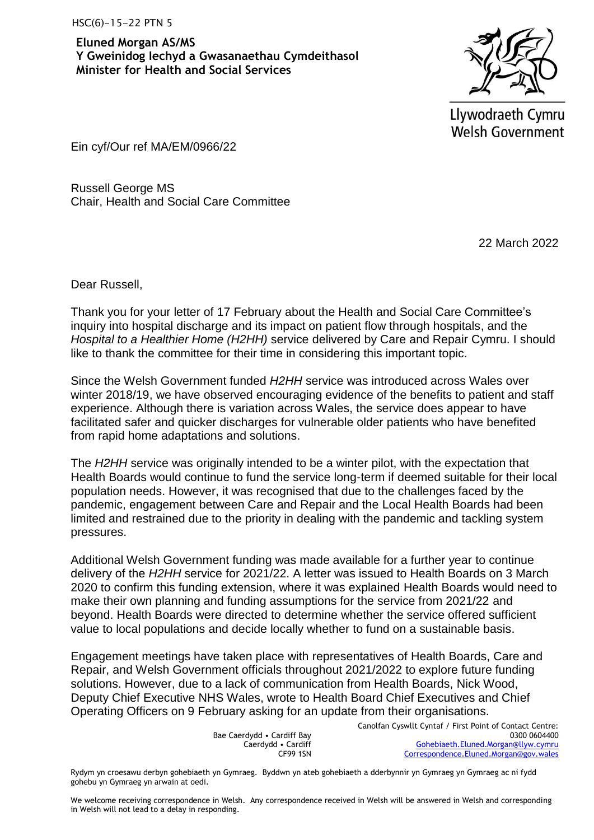**Eluned Morgan AS/MS Y Gweinidog Iechyd a Gwasanaethau Cymdeithasol Minister for Health and Social Services**



Llywodraeth Cymru **Welsh Government** 

Ein cyf/Our ref MA/EM/0966/22

Russell George MS Chair, Health and Social Care Committee

22 March 2022

Dear Russell,

Thank you for your letter of 17 February about the Health and Social Care Committee's inquiry into hospital discharge and its impact on patient flow through hospitals, and the *Hospital to a Healthier Home (H2HH)* service delivered by Care and Repair Cymru. I should like to thank the committee for their time in considering this important topic.

Since the Welsh Government funded *H2HH* service was introduced across Wales over winter 2018/19, we have observed encouraging evidence of the benefits to patient and staff experience. Although there is variation across Wales, the service does appear to have facilitated safer and quicker discharges for vulnerable older patients who have benefited from rapid home adaptations and solutions.

The *H2HH* service was originally intended to be a winter pilot, with the expectation that Health Boards would continue to fund the service long-term if deemed suitable for their local population needs. However, it was recognised that due to the challenges faced by the pandemic, engagement between Care and Repair and the Local Health Boards had been limited and restrained due to the priority in dealing with the pandemic and tackling system pressures.

Additional Welsh Government funding was made available for a further year to continue delivery of the *H2HH* service for 2021/22. A letter was issued to Health Boards on 3 March 2020 to confirm this funding extension, where it was explained Health Boards would need to make their own planning and funding assumptions for the service from 2021/22 and beyond. Health Boards were directed to determine whether the service offered sufficient value to local populations and decide locally whether to fund on a sustainable basis.

Engagement meetings have taken place with representatives of Health Boards, Care and Repair, and Welsh Government officials throughout 2021/2022 to explore future funding solutions. However, due to a lack of communication from Health Boards, Nick Wood, Deputy Chief Executive NHS Wales, wrote to Health Board Chief Executives and Chief Operating Officers on 9 February asking for an update from their organisations.

> Bae Caerdydd • Cardiff Bay Caerdydd • Cardiff CF99 1SN

Canolfan Cyswllt Cyntaf / First Point of Contact Centre: 0300 0604400 [Gohebiaeth.Eluned.Morgan@llyw.cymru](mailto:Gohebiaeth.Eluned.Morgan@llyw.cymru) [Correspondence.Eluned.Morgan@gov.wales](mailto:Correspondence.Eluned.Morgan@gov.wales)

Rydym yn croesawu derbyn gohebiaeth yn Gymraeg. Byddwn yn ateb gohebiaeth a dderbynnir yn Gymraeg yn Gymraeg ac ni fydd gohebu yn Gymraeg yn arwain at oedi.

We welcome receiving correspondence in Welsh. Any correspondence received in Welsh will be answered in Welsh and corresponding in Welsh will not lead to a delay in responding.